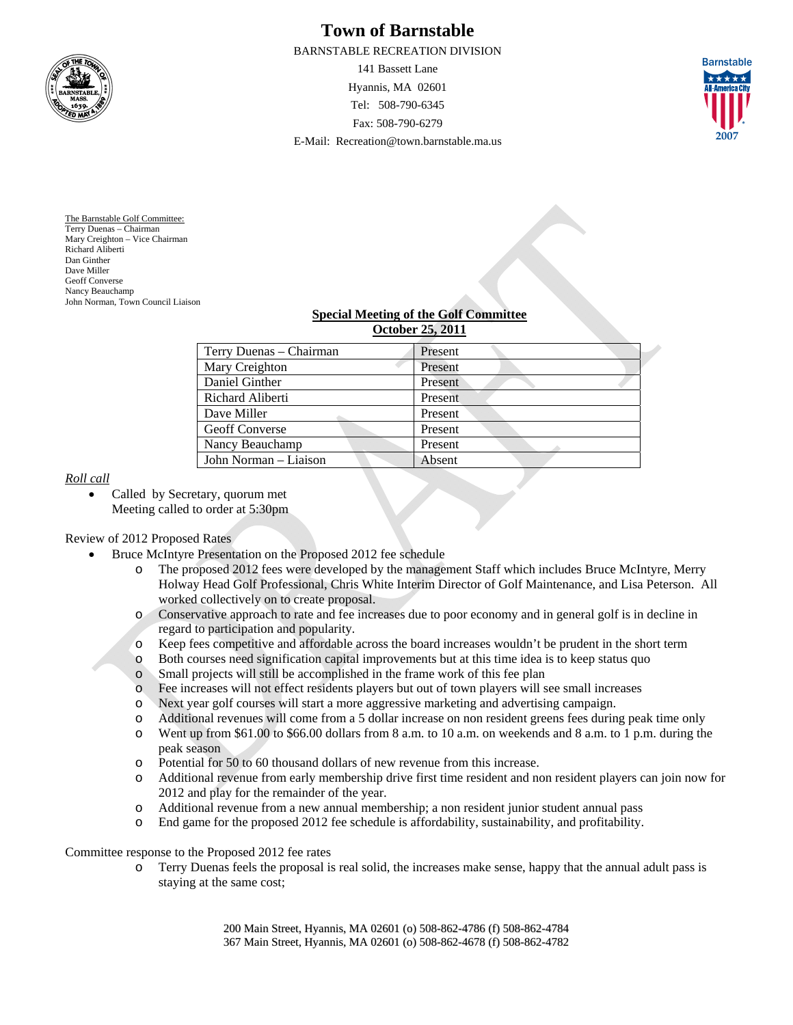

# **Town of Barnstable**

BARNSTABLE RECREATION DIVISION

141 Bassett Lane Hyannis, MA 02601 Tel: 508-790-6345 Fax: 508-790-6279 E-Mail: Recreation@town.barnstable.ma.us



The Barnstable Golf Committee: Terry Duenas – Chairman Mary Creighton – Vice Chairman Richard Aliberti Dan Ginther Dave Miller Geoff Converse Nancy Beauchamp John Norman, Town Council Liaison

#### **Special Meeting of the Golf Committee October 25, 2011**

| Terry Duenas – Chairman | Present |  |
|-------------------------|---------|--|
| Mary Creighton          | Present |  |
| Daniel Ginther          | Present |  |
| Richard Aliberti        | Present |  |
| Dave Miller             | Present |  |
| <b>Geoff Converse</b>   | Present |  |
| Nancy Beauchamp         | Present |  |
| John Norman – Liaison   | Absent  |  |

# *Roll call*

• Called by Secretary, quorum met Meeting called to order at 5:30pm

# Review of 2012 Proposed Rates

- Bruce McIntyre Presentation on the Proposed 2012 fee schedule
	- o The proposed 2012 fees were developed by the management Staff which includes Bruce McIntyre, Merry Holway Head Golf Professional, Chris White Interim Director of Golf Maintenance, and Lisa Peterson. All worked collectively on to create proposal.
	- o Conservative approach to rate and fee increases due to poor economy and in general golf is in decline in regard to participation and popularity.
	- o Keep fees competitive and affordable across the board increases wouldn't be prudent in the short term
	- o Both courses need signification capital improvements but at this time idea is to keep status quo
	- o Small projects will still be accomplished in the frame work of this fee plan
	- o Fee increases will not effect residents players but out of town players will see small increases
	- o Next year golf courses will start a more aggressive marketing and advertising campaign.
	- o Additional revenues will come from a 5 dollar increase on non resident greens fees during peak time only
	- o Went up from \$61.00 to \$66.00 dollars from 8 a.m. to 10 a.m. on weekends and 8 a.m. to 1 p.m. during the peak season
	- o Potential for 50 to 60 thousand dollars of new revenue from this increase.
	- o Additional revenue from early membership drive first time resident and non resident players can join now for 2012 and play for the remainder of the year.
	- o Additional revenue from a new annual membership; a non resident junior student annual pass
	- o End game for the proposed 2012 fee schedule is affordability, sustainability, and profitability.

Committee response to the Proposed 2012 fee rates

o Terry Duenas feels the proposal is real solid, the increases make sense, happy that the annual adult pass is staying at the same cost;

> 200 Main Street, Hyannis, MA 02601 (o) 508-862-4786 (f) 508-862-4784 367 Main Street, Hyannis, MA 02601 (o) 508-862-4678 (f) 508-862-4782